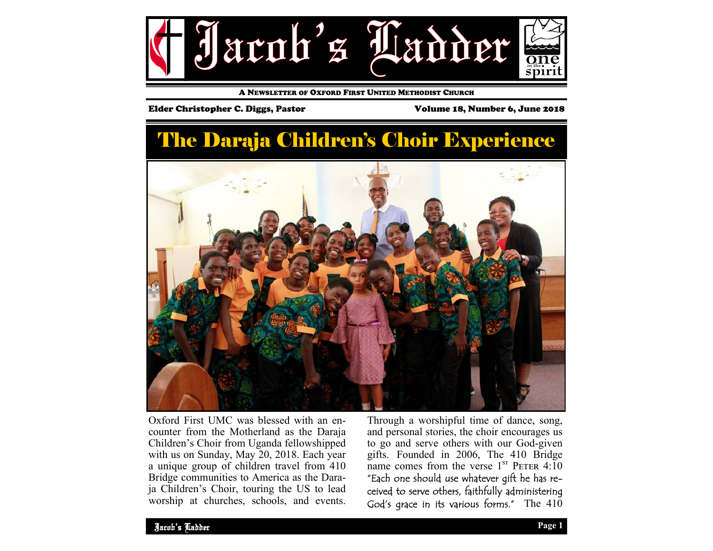

A NEWSLETTER OF OXFORD FIRST UNITED METHODIST CHURCH

### Elder Christopher C. Diggs, Pastor Volume 18, Number 6, June 2018

# The Daraja Children's Choir Experience



Oxford First UMC was blessed with an encounter from the Motherland as the Daraja Children's Choir from Uganda fellowshipped with us on Sunday, May 20, 2018. Each year a unique group of children travel from 410 Bridge communities to America as the Daraja Children's Choir, touring the US to lead worship at churches, schools, and events.

Through a worshipful time of dance, song, and personal stories, the choir encourages us to go and serve others with our God-given gifts. Founded in 2006, The 410 Bridge name comes from the verse  $1^{ST}$  PETER 4:10 "Each one should use whatever gift he has received to serve others, faithfully administering God's grace in its various forms." The 410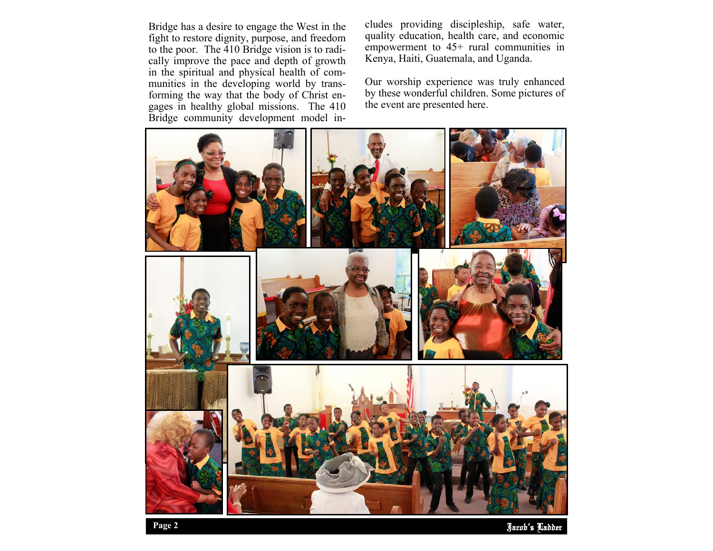Bridge has a desire to engage the West in the fight to restore dignity, purpose, and freedom to the poor. The 410 Bridge vision is to radically improve the pace and depth of growth in the spiritual and physical health of communities in the developing world by transforming the way that the body of Christ engages in healthy global missions. The 410 Bridge community development model includes providing discipleship, safe water,<br>quality education, health care, and economic<br>empowerment to 45+ rural communities in<br>Kenya, Haiti, Guatemala, and Uganda.<br>Our worship experience was truly enhanced<br>by these wonder

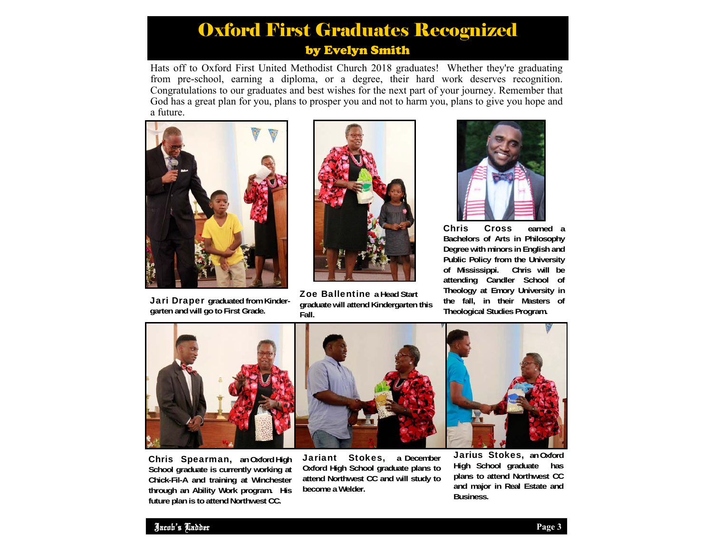## Oxford First Graduates Recognized by Evelyn Smith

Hats off to Oxford First United Methodist Church 2018 graduates! Whether they're graduating from pre-school, earning a diploma, or a degree, their hard work deserves recognition. Congratulations to our graduates and best wishes for the next part of your journey. Remember that God has a great plan for you, plans to prosper you and not to harm you, plans to give you hope and a future.



Jari Draper **graduated from Kindergarten and will go to First Grade.** 



Zoe Ballentine **a Head Start graduate will attend Kindergarten this Fall.** 



Chris Cross **earned a Bachelors of Arts in Philosophy Degree with minors in English and Public Policy from the University of Mississippi. Chris will be attending Candler School of Theology at Emory University in the fall, in their Masters of Theological Studies Program.** 



Chris Spearman, **an Oxford High School graduate is currently working at Chick-Fil-A and training at Winchester through an Ability Work program. His future plan is to attend Northwest CC.** 

Jariant Stokes, **a December Oxford High School graduate plans to attend Northwest CC and will study to become a Welder.** 

Jarius Stokes, **an Oxford High School graduate has plans to attend Northwest CC and major in Real Estate and Business.**